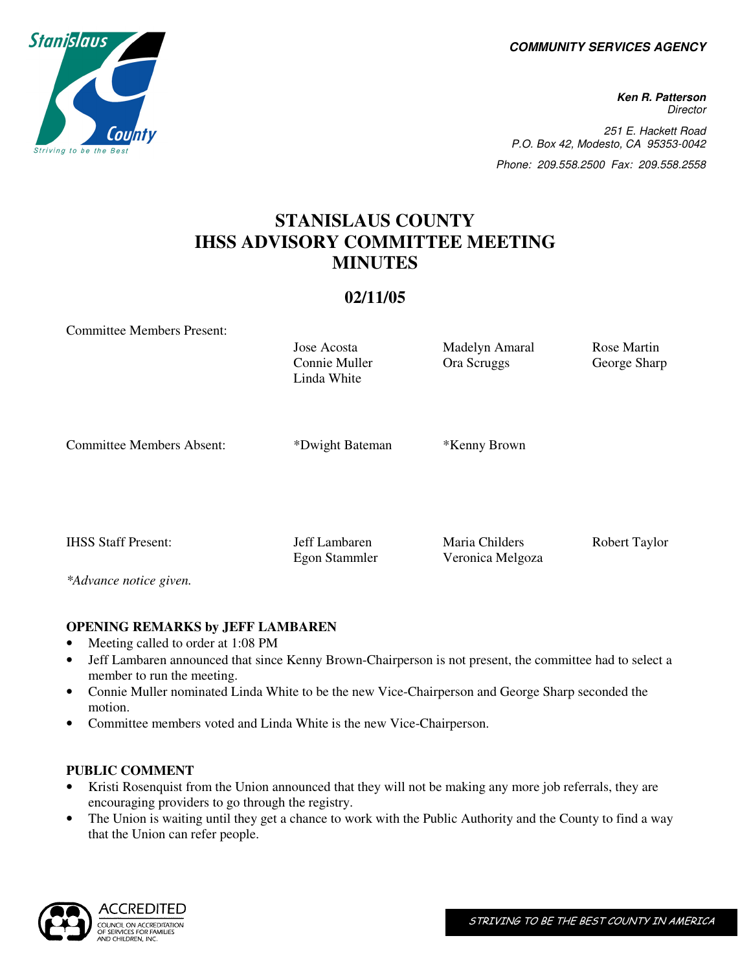**COMMUNITY SERVICES AGENCY** 

**Ken R. Patterson Director** 251 E. Hackett Road P.O. Box 42, Modesto, CA 95353-0042 Phone: 209.558.2500 Fax: 209.558.2558

# **STANISLAUS COUNTY IHSS ADVISORY COMMITTEE MEETING MINUTES**

# **02/11/05**

Committee Members Present:

Connie Muller Linda White

Jose Acosta Madelyn Amaral Rose Martin Ora Scruggs George Sharp

Committee Members Absent: \*Dwight Bateman \*Kenny Brown

IHSS Staff Present: Jeff Lambaren Maria Childers Robert Taylor

*\*Advance notice given.* 

## **OPENING REMARKS by JEFF LAMBAREN**

- Meeting called to order at 1:08 PM
- Jeff Lambaren announced that since Kenny Brown-Chairperson is not present, the committee had to select a member to run the meeting.

Egon Stammler Veronica Melgoza

- Connie Muller nominated Linda White to be the new Vice-Chairperson and George Sharp seconded the motion.
- Committee members voted and Linda White is the new Vice-Chairperson.

#### **PUBLIC COMMENT**

- Kristi Rosenquist from the Union announced that they will not be making any more job referrals, they are encouraging providers to go through the registry.
- The Union is waiting until they get a chance to work with the Public Authority and the County to find a way that the Union can refer people.



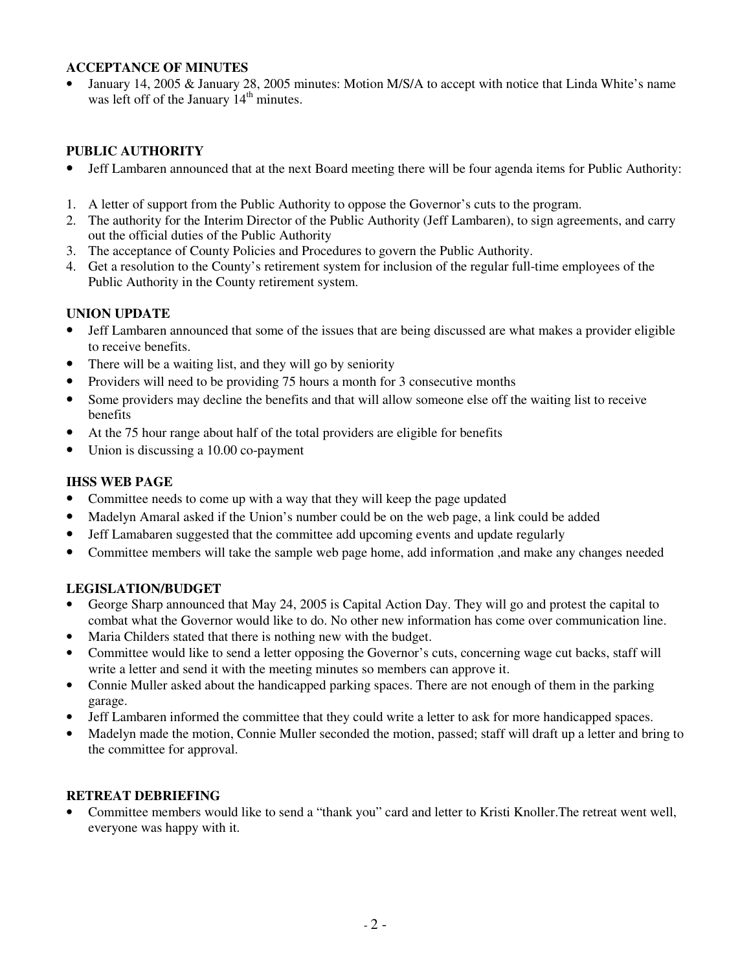## **ACCEPTANCE OF MINUTES**

• January 14, 2005 & January 28, 2005 minutes: Motion M/S/A to accept with notice that Linda White's name was left off of the January  $14<sup>th</sup>$  minutes.

## **PUBLIC AUTHORITY**

- Jeff Lambaren announced that at the next Board meeting there will be four agenda items for Public Authority:
- 1. A letter of support from the Public Authority to oppose the Governor's cuts to the program.
- 2. The authority for the Interim Director of the Public Authority (Jeff Lambaren), to sign agreements, and carry out the official duties of the Public Authority
- 3. The acceptance of County Policies and Procedures to govern the Public Authority.
- 4. Get a resolution to the County's retirement system for inclusion of the regular full-time employees of the Public Authority in the County retirement system.

## **UNION UPDATE**

- Jeff Lambaren announced that some of the issues that are being discussed are what makes a provider eligible to receive benefits.
- There will be a waiting list, and they will go by seniority
- Providers will need to be providing 75 hours a month for 3 consecutive months
- Some providers may decline the benefits and that will allow someone else off the waiting list to receive benefits
- At the 75 hour range about half of the total providers are eligible for benefits
- Union is discussing a 10.00 co-payment

#### **IHSS WEB PAGE**

- Committee needs to come up with a way that they will keep the page updated
- Madelyn Amaral asked if the Union's number could be on the web page, a link could be added
- Jeff Lamabaren suggested that the committee add upcoming events and update regularly
- Committee members will take the sample web page home, add information ,and make any changes needed

#### **LEGISLATION/BUDGET**

- George Sharp announced that May 24, 2005 is Capital Action Day. They will go and protest the capital to combat what the Governor would like to do. No other new information has come over communication line.
- Maria Childers stated that there is nothing new with the budget.
- Committee would like to send a letter opposing the Governor's cuts, concerning wage cut backs, staff will write a letter and send it with the meeting minutes so members can approve it.
- Connie Muller asked about the handicapped parking spaces. There are not enough of them in the parking garage.
- Jeff Lambaren informed the committee that they could write a letter to ask for more handicapped spaces.
- Madelyn made the motion, Connie Muller seconded the motion, passed; staff will draft up a letter and bring to the committee for approval.

#### **RETREAT DEBRIEFING**

• Committee members would like to send a "thank you" card and letter to Kristi Knoller.The retreat went well, everyone was happy with it.